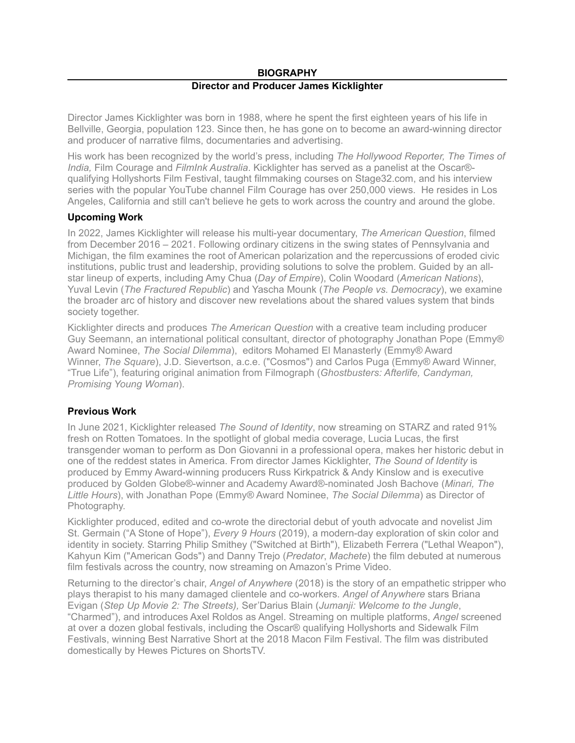## **BIOGRAPHY Director and Producer James Kicklighter**

Director James Kicklighter was born in 1988, where he spent the first eighteen years of his life in Bellville, Georgia, population 123. Since then, he has gone on to become an award-winning director and producer of narrative films, documentaries and advertising.

His work has been recognized by the world's press, including *The Hollywood Reporter, The Times of India,* Film Courage and *FilmInk Australia*. Kicklighter has served as a panelist at the Oscar® qualifying Hollyshorts Film Festival, taught filmmaking courses on Stage32.com, and his interview series with the popular YouTube channel Film Courage has over 250,000 views. He resides in Los Angeles, California and still can't believe he gets to work across the country and around the globe.

## **Upcoming Work**

In 2022, James Kicklighter will release his multi-year documentary, *The American Question*, filmed from December 2016 – 2021. Following ordinary citizens in the swing states of Pennsylvania and Michigan, the film examines the root of American polarization and the repercussions of eroded civic institutions, public trust and leadership, providing solutions to solve the problem. Guided by an allstar lineup of experts, including Amy Chua (*Day of Empire*), Colin Woodard (*American Nations*), Yuval Levin (*The Fractured Republic*) and Yascha Mounk (*The People vs. Democracy*), we examine the broader arc of history and discover new revelations about the shared values system that binds society together.

Kicklighter directs and produces *The American Question* with a creative team including producer Guy Seemann, an international political consultant, director of photography Jonathan Pope (Emmy® Award Nominee, *The Social Dilemma*), editors Mohamed El Manasterly (Emmy® Award Winner, *The Square*), J.D. Sievertson, a.c.e. ("Cosmos") and Carlos Puga (Emmy® Award Winner, "True Life"), featuring original animation from Filmograph (*Ghostbusters: Afterlife, Candyman, Promising Young Woman*).

## **Previous Work**

In June 2021, Kicklighter released *The Sound of Identity*, now streaming on STARZ and rated 91% fresh on Rotten Tomatoes. In the spotlight of global media coverage, Lucia Lucas, the first transgender woman to perform as Don Giovanni in a professional opera, makes her historic debut in one of the reddest states in America. From director James Kicklighter, *The Sound of Identity* is produced by Emmy Award-winning producers Russ Kirkpatrick & Andy Kinslow and is executive produced by Golden Globe®-winner and Academy Award®-nominated Josh Bachove (*Minari, The Little Hours*), with Jonathan Pope (Emmy® Award Nominee, *The Social Dilemma*) as Director of Photography.

Kicklighter produced, edited and co-wrote the directorial debut of youth advocate and novelist Jim St. Germain ("A Stone of Hope"), *Every 9 Hours* (2019), a modern-day exploration of skin color and identity in society. Starring Philip Smithey ("Switched at Birth"), Elizabeth Ferrera ("Lethal Weapon"), Kahyun Kim ("American Gods") and Danny Trejo (*Predator*, *Machete*) the film debuted at numerous film festivals across the country, now streaming on Amazon's Prime Video.

Returning to the director's chair, *Angel of Anywhere* (2018) is the story of an empathetic stripper who plays therapist to his many damaged clientele and co-workers. *Angel of Anywhere* stars Briana Evigan (*Step Up Movie 2: The Streets),* Ser'Darius Blain (*Jumanji: Welcome to the Jungle*, "Charmed"), and introduces Axel Roldos as Angel. Streaming on multiple platforms, *Angel* screened at over a dozen global festivals, including the Oscar® qualifying Hollyshorts and Sidewalk Film Festivals, winning Best Narrative Short at the 2018 Macon Film Festival. The film was distributed domestically by Hewes Pictures on ShortsTV.